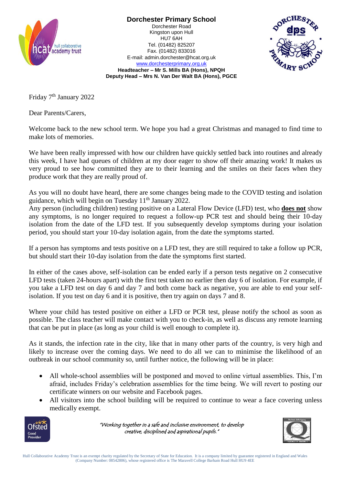

**Dorchester Primary School** Dorchester Road Kingston upon Hull

HU7 6AH Tel. (01482) 825207 Fax. (01482) 833016 E-mail: admin.dorchester@hcat.org.uk [www.dorchesterprimary.org.uk](http://www.dorchester.hull.sch.uk/)



**Headteacher – Mr S. Mills BA (Hons), NPQH Deputy Head – Mrs N. Van Der Walt BA (Hons), PGCE**

Friday 7th January 2022

Dear Parents/Carers,

Welcome back to the new school term. We hope you had a great Christmas and managed to find time to make lots of memories.

We have been really impressed with how our children have quickly settled back into routines and already this week, I have had queues of children at my door eager to show off their amazing work! It makes us very proud to see how committed they are to their learning and the smiles on their faces when they produce work that they are really proud of.

As you will no doubt have heard, there are some changes being made to the COVID testing and isolation guidance, which will begin on Tuesday  $11<sup>th</sup>$  January 2022.

Any person (including children) testing positive on a Lateral Flow Device (LFD) test, who **does not** show any symptoms, is no longer required to request a follow-up PCR test and should being their 10-day isolation from the date of the LFD test. If you subsequently develop symptoms during your isolation period, you should start your 10-day isolation again, from the date the symptoms started.

If a person has symptoms and tests positive on a LFD test, they are still required to take a follow up PCR, but should start their 10-day isolation from the date the symptoms first started.

In either of the cases above, self-isolation can be ended early if a person tests negative on 2 consecutive LFD tests (taken 24-hours apart) with the first test taken no earlier then day 6 of isolation. For example, if you take a LFD test on day 6 and day 7 and both come back as negative, you are able to end your selfisolation. If you test on day 6 and it is positive, then try again on days 7 and 8.

Where your child has tested positive on either a LFD or PCR test, please notify the school as soon as possible. The class teacher will make contact with you to check-in, as well as discuss any remote learning that can be put in place (as long as your child is well enough to complete it).

As it stands, the infection rate in the city, like that in many other parts of the country, is very high and likely to increase over the coming days. We need to do all we can to minimise the likelihood of an outbreak in our school community so, until further notice, the following will be in place:

- All whole-school assemblies will be postponed and moved to online virtual assemblies. This, I'm afraid, includes Friday's celebration assemblies for the time being. We will revert to posting our certificate winners on our website and Facebook pages.
- All visitors into the school building will be required to continue to wear a face covering unless medically exempt.



"Working together in a safe and inclusive environment, to develop creative, disciplined and aspirational pupils."